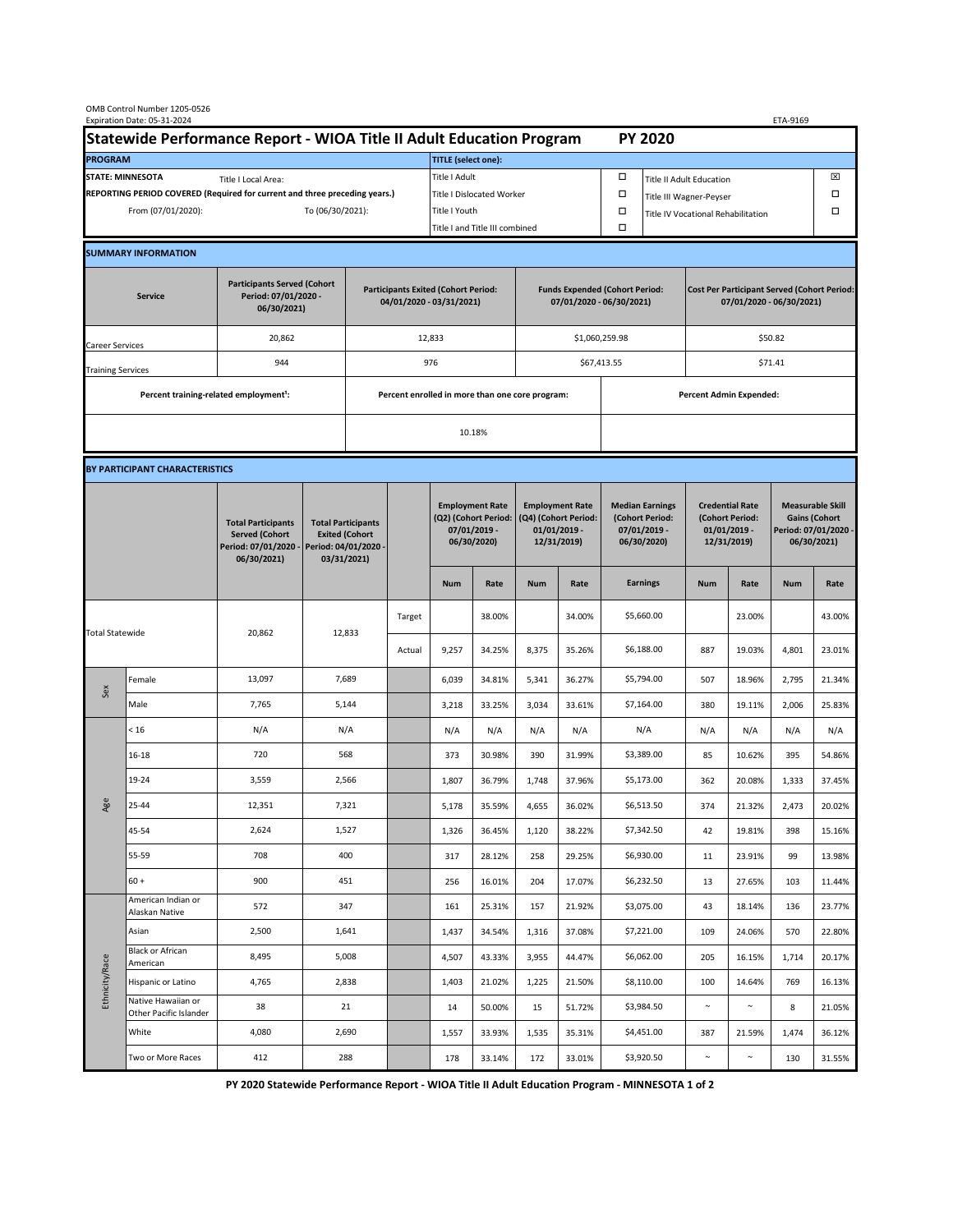| OMB Control Number 1205-0526<br>Expiration Date: 05-31-2024<br>ETA-9169                     |                                                    |                                                                                           |        |                                                                                           |               |                                                                               |                                  |                                                                                 |        |                                                                            |                                 |                                                                                |        |                                                                                        |        |  |
|---------------------------------------------------------------------------------------------|----------------------------------------------------|-------------------------------------------------------------------------------------------|--------|-------------------------------------------------------------------------------------------|---------------|-------------------------------------------------------------------------------|----------------------------------|---------------------------------------------------------------------------------|--------|----------------------------------------------------------------------------|---------------------------------|--------------------------------------------------------------------------------|--------|----------------------------------------------------------------------------------------|--------|--|
| Statewide Performance Report - WIOA Title II Adult Education Program                        |                                                    |                                                                                           |        |                                                                                           |               | <b>PY 2020</b>                                                                |                                  |                                                                                 |        |                                                                            |                                 |                                                                                |        |                                                                                        |        |  |
| <b>PROGRAM</b>                                                                              |                                                    |                                                                                           |        |                                                                                           |               |                                                                               | <b>TITLE</b> (select one):       |                                                                                 |        |                                                                            |                                 |                                                                                |        |                                                                                        |        |  |
| <b>STATE: MINNESOTA</b><br>Title I Local Area:                                              |                                                    |                                                                                           |        |                                                                                           |               | Title I Adult                                                                 |                                  |                                                                                 |        | □                                                                          | <b>Title II Adult Education</b> |                                                                                |        |                                                                                        | ⊠      |  |
| REPORTING PERIOD COVERED (Required for current and three preceding years.)                  |                                                    |                                                                                           |        |                                                                                           |               |                                                                               | <b>Title I Dislocated Worker</b> |                                                                                 |        | α                                                                          | Title III Wagner-Peyser         |                                                                                |        |                                                                                        | Ω      |  |
| From (07/01/2020):<br>To (06/30/2021):                                                      |                                                    |                                                                                           |        |                                                                                           | Title I Youth |                                                                               |                                  |                                                                                 | α      | Title IV Vocational Rehabilitation                                         |                                 |                                                                                |        | Ω                                                                                      |        |  |
|                                                                                             |                                                    |                                                                                           |        |                                                                                           |               | Title I and Title III combined                                                |                                  |                                                                                 |        | $\Box$                                                                     |                                 |                                                                                |        |                                                                                        |        |  |
|                                                                                             | <b>SUMMARY INFORMATION</b>                         |                                                                                           |        |                                                                                           |               |                                                                               |                                  |                                                                                 |        |                                                                            |                                 |                                                                                |        |                                                                                        |        |  |
| <b>Participants Served (Cohort</b><br>Period: 07/01/2020 -<br><b>Service</b><br>06/30/2021) |                                                    |                                                                                           |        | <b>Participants Exited (Cohort Period:</b><br>04/01/2020 - 03/31/2021)                    |               |                                                                               |                                  | <b>Funds Expended (Cohort Period:</b><br>07/01/2020 - 06/30/2021)               |        |                                                                            |                                 | <b>Cost Per Participant Served (Cohort Period:</b><br>07/01/2020 - 06/30/2021) |        |                                                                                        |        |  |
| Career Services                                                                             |                                                    | 20,862                                                                                    |        |                                                                                           |               | 12,833                                                                        |                                  |                                                                                 |        | \$1,060,259.98                                                             |                                 | \$50.82                                                                        |        |                                                                                        |        |  |
| <b>Training Services</b>                                                                    |                                                    | 944                                                                                       |        | 976                                                                                       |               |                                                                               | \$67,413.55                      |                                                                                 |        | \$71.41                                                                    |                                 |                                                                                |        |                                                                                        |        |  |
|                                                                                             | Percent training-related employment <sup>1</sup> : |                                                                                           |        |                                                                                           |               | Percent enrolled in more than one core program:                               |                                  |                                                                                 |        |                                                                            | Percent Admin Expended:         |                                                                                |        |                                                                                        |        |  |
|                                                                                             |                                                    |                                                                                           |        |                                                                                           |               |                                                                               | 10.18%                           |                                                                                 |        |                                                                            |                                 |                                                                                |        |                                                                                        |        |  |
|                                                                                             |                                                    |                                                                                           |        |                                                                                           |               |                                                                               |                                  |                                                                                 |        |                                                                            |                                 |                                                                                |        |                                                                                        |        |  |
| BY PARTICIPANT CHARACTERISTICS                                                              |                                                    |                                                                                           |        |                                                                                           |               |                                                                               |                                  |                                                                                 |        |                                                                            |                                 |                                                                                |        |                                                                                        |        |  |
|                                                                                             |                                                    | <b>Total Participants</b><br><b>Served (Cohort</b><br>Period: 07/01/2020 -<br>06/30/2021) |        | <b>Total Participants</b><br><b>Exited (Cohort</b><br>Period: 04/01/2020 -<br>03/31/2021) |               | <b>Employment Rate</b><br>(Q2) (Cohort Period:<br>07/01/2019 -<br>06/30/2020) |                                  | <b>Employment Rate</b><br>(Q4) (Cohort Period:<br>$01/01/2019$ -<br>12/31/2019) |        | <b>Median Earnings</b><br>(Cohort Period:<br>$07/01/2019 -$<br>06/30/2020) |                                 | <b>Credential Rate</b><br>(Cohort Period:<br>$01/01/2019$ -<br>12/31/2019)     |        | <b>Measurable Skill</b><br><b>Gains (Cohort</b><br>Period: 07/01/2020 -<br>06/30/2021) |        |  |
|                                                                                             |                                                    |                                                                                           |        |                                                                                           |               | <b>Num</b>                                                                    | Rate                             | <b>Num</b>                                                                      | Rate   |                                                                            | <b>Earnings</b>                 | <b>Num</b>                                                                     | Rate   | <b>Num</b>                                                                             | Rate   |  |
| <b>Total Statewide</b>                                                                      |                                                    |                                                                                           | 12,833 |                                                                                           | Target        |                                                                               | 38.00%                           |                                                                                 | 34.00% |                                                                            | \$5,660.00                      |                                                                                | 23.00% |                                                                                        | 43.00% |  |
|                                                                                             |                                                    | 20,862                                                                                    |        |                                                                                           | Actual        | 9,257                                                                         | 34.25%                           | 8,375                                                                           | 35.26% |                                                                            | \$6,188.00                      | 887                                                                            | 19.03% | 4,801                                                                                  | 23.01% |  |
| Sex                                                                                         | Female                                             | 13,097                                                                                    | 7,689  |                                                                                           |               | 6,039                                                                         | 34.81%                           | 5,341                                                                           | 36.27% |                                                                            | \$5,794.00                      | 507                                                                            | 18.96% | 2,795                                                                                  | 21.34% |  |
|                                                                                             | Male                                               | 7,765                                                                                     | 5,144  |                                                                                           |               | 3,218                                                                         | 33.25%                           | 3,034                                                                           | 33.61% |                                                                            | \$7,164.00                      | 380                                                                            | 19.11% | 2,006                                                                                  | 25.83% |  |
| Age                                                                                         | < 16                                               | N/A                                                                                       | N/A    |                                                                                           |               | N/A                                                                           | N/A                              | N/A                                                                             | N/A    |                                                                            | N/A                             | N/A                                                                            | N/A    | N/A                                                                                    | N/A    |  |
|                                                                                             | 16-18                                              | 720                                                                                       | 568    |                                                                                           |               | 373                                                                           | 30.98%                           | 390                                                                             | 31.99% |                                                                            | \$3,389.00                      | 85                                                                             | 10.62% | 395                                                                                    | 54.86% |  |
|                                                                                             | 19-24                                              | 3,559                                                                                     | 2,566  |                                                                                           |               | 1,807                                                                         | 36.79%                           | 1,748                                                                           | 37.96% |                                                                            | \$5,173.00                      | 362                                                                            | 20.08% | 1,333                                                                                  | 37.45% |  |
|                                                                                             | 25-44                                              | 12,351                                                                                    | 7,321  |                                                                                           |               | 5,178                                                                         | 35.59%                           | 4,655                                                                           | 36.02% |                                                                            | \$6,513.50                      | 374                                                                            | 21.32% | 2,473                                                                                  | 20.02% |  |
|                                                                                             | 45-54                                              | 2,624                                                                                     | 1,527  |                                                                                           |               | 1,326                                                                         | 36.45%                           | 1,120                                                                           | 38.22% |                                                                            | \$7,342.50                      | 42                                                                             | 19.81% | 398                                                                                    | 15.16% |  |
|                                                                                             | 55-59                                              | 708                                                                                       | 400    |                                                                                           |               | 317                                                                           | 28.12%                           | 258                                                                             | 29.25% |                                                                            | \$6,930.00                      | 11                                                                             | 23.91% | 99                                                                                     | 13.98% |  |
|                                                                                             | $60 +$                                             | 900                                                                                       | 451    |                                                                                           |               | 256                                                                           | 16.01%                           | 204                                                                             | 17.07% |                                                                            | \$6,232.50                      | 13                                                                             | 27.65% | 103                                                                                    | 11.44% |  |
| Ethnicity/Race                                                                              | American Indian or<br>Alaskan Native               | 572                                                                                       | 347    |                                                                                           |               | 161                                                                           | 25.31%                           | 157                                                                             | 21.92% |                                                                            | \$3,075.00                      | 43                                                                             | 18.14% | 136                                                                                    | 23.77% |  |
|                                                                                             | Asian<br><b>Black or African</b>                   | 2,500                                                                                     | 1,641  |                                                                                           |               | 1,437                                                                         | 34.54%                           | 1,316                                                                           | 37.08% |                                                                            | \$7,221.00                      | 109                                                                            | 24.06% | 570                                                                                    | 22.80% |  |
|                                                                                             | American                                           | 8,495                                                                                     | 5,008  |                                                                                           |               | 4,507                                                                         | 43.33%                           | 3,955                                                                           | 44.47% |                                                                            | \$6,062.00                      | 205                                                                            | 16.15% | 1,714                                                                                  | 20.17% |  |
|                                                                                             | Hispanic or Latino<br>Native Hawaiian or           | 4,765                                                                                     | 2,838  |                                                                                           |               | 1,403                                                                         | 21.02%                           | 1,225                                                                           | 21.50% |                                                                            | \$8,110.00                      | 100                                                                            | 14.64% | 769                                                                                    | 16.13% |  |
|                                                                                             | Other Pacific Islander                             | 38                                                                                        | 21     |                                                                                           |               | 14                                                                            | 50.00%                           | 15                                                                              | 51.72% |                                                                            | \$3,984.50                      | $\sim$                                                                         | $\sim$ | 8                                                                                      | 21.05% |  |
|                                                                                             | White                                              | 4,080                                                                                     | 2,690  |                                                                                           |               | 1,557                                                                         | 33.93%                           | 1,535                                                                           | 35.31% |                                                                            | \$4,451.00                      | 387                                                                            | 21.59% | 1,474                                                                                  | 36.12% |  |
|                                                                                             | Two or More Races                                  | 412                                                                                       | 288    |                                                                                           |               | 178                                                                           | 33.14%                           | 172                                                                             | 33.01% |                                                                            | \$3,920.50                      | $\sim$                                                                         | $\sim$ | 130                                                                                    | 31.55% |  |

**PY 2020 Statewide Performance Report - WIOA Title II Adult Education Program - MINNESOTA 1 of 2**